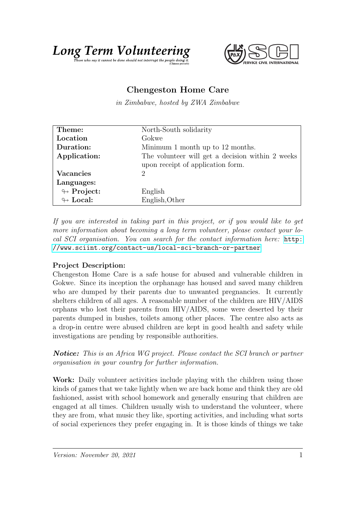

## Chengeston Home Care

in Zimbabwe, hosted by ZWA Zimbabwe

| Theme:                     | North-South solidarity                           |
|----------------------------|--------------------------------------------------|
| Location                   | Gokwe                                            |
| Duration:                  | Minimum 1 month up to 12 months.                 |
| Application:               | The volunteer will get a decision within 2 weeks |
|                            | upon receipt of application form.                |
| <b>Vacancies</b>           | 2                                                |
| Languages:                 |                                                  |
| $\looparrowright$ Project: | English                                          |
| $\leftrightarrow$ Local:   | English, Other                                   |

If you are interested in taking part in this project, or if you would like to get more information about becoming a long term volunteer, please contact your local SCI organisation. You can search for the contact information here: [http:](http://www.sciint.org/contact-us/local-sci-branch-or-partner) [//www.sciint.org/contact-us/local-sci-branch-or-partner](http://www.sciint.org/contact-us/local-sci-branch-or-partner)

## Project Description:

Chengeston Home Care is a safe house for abused and vulnerable children in Gokwe. Since its inception the orphanage has housed and saved many children who are dumped by their parents due to unwanted pregnancies. It currently shelters children of all ages. A reasonable number of the children are HIV/AIDS orphans who lost their parents from HIV/AIDS, some were deserted by their parents dumped in bushes, toilets among other places. The centre also acts as a drop-in centre were abused children are kept in good health and safety while investigations are pending by responsible authorities.

Notice: This is an Africa WG project. Please contact the SCI branch or partner organisation in your country for further information.

Work: Daily volunteer activities include playing with the children using those kinds of games that we take lightly when we are back home and think they are old fashioned, assist with school homework and generally ensuring that children are engaged at all times. Children usually wish to understand the volunteer, where they are from, what music they like, sporting activities, and including what sorts of social experiences they prefer engaging in. It is those kinds of things we take